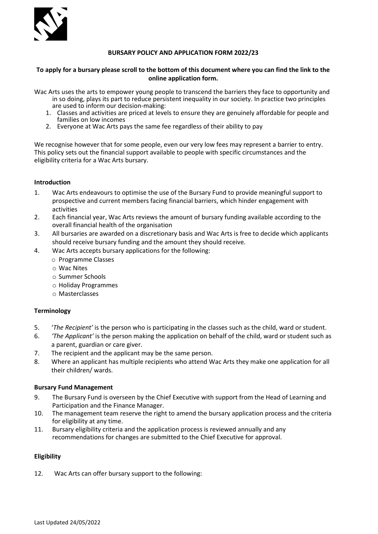

# **BURSARY POLICY AND APPLICATION FORM 2022/23**

# **To apply for a bursary please scroll to the bottom of this document where you can find the link to the online application form.**

Wac Arts uses the arts to empower young people to transcend the barriers they face to opportunity and in so doing, plays its part to reduce persistent inequality in our society. In practice two principles

- are used to inform our decision-making:
- 1. Classes and activities are priced at levels to ensure they are genuinely affordable for people and families on low incomes
- 2. Everyone at Wac Arts pays the same fee regardless of their ability to pay

We recognise however that for some people, even our very low fees may represent a barrier to entry. This policy sets out the financial support available to people with specific circumstances and the eligibility criteria for a Wac Arts bursary.

# **Introduction**

- 1. Wac Arts endeavours to optimise the use of the Bursary Fund to provide meaningful support to prospective and current members facing financial barriers, which hinder engagement with activities
- 2. Each financial year, Wac Arts reviews the amount of bursary funding available according to the overall financial health of the organisation
- 3. All bursaries are awarded on a discretionary basis and Wac Arts is free to decide which applicants should receive bursary funding and the amount they should receive.
- 4. Wac Arts accepts bursary applications for the following:
	- o Programme Classes
	- o Wac Nites
	- o Summer Schools
	- o Holiday Programmes
	- o Masterclasses

#### **Terminology**

- 5. '*The Recipient'* is the person who is participating in the classes such as the child, ward or student.
- 6. *'The Applicant'* is the person making the application on behalf of the child, ward or student such as a parent, guardian or care giver.
- 7. The recipient and the applicant may be the same person.
- 8. Where an applicant has multiple recipients who attend Wac Arts they make one application for all their children/ wards.

#### **Bursary Fund Management**

- 9. The Bursary Fund is overseen by the Chief Executive with support from the Head of Learning and Participation and the Finance Manager.
- 10. The management team reserve the right to amend the bursary application process and the criteria for eligibility at any time.
- 11. Bursary eligibility criteria and the application process is reviewed annually and any recommendations for changes are submitted to the Chief Executive for approval.

#### **Eligibility**

12. Wac Arts can offer bursary support to the following: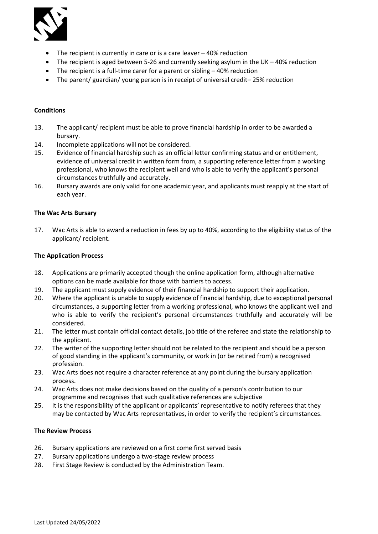

- The recipient is currently in care or is a care leaver 40% reduction
- The recipient is aged between 5-26 and currently seeking asylum in the UK 40% reduction
- The recipient is a full-time carer for a parent or sibling 40% reduction
- The parent/ guardian/ young person is in receipt of universal credit– 25% reduction

#### **Conditions**

- 13. The applicant/ recipient must be able to prove financial hardship in order to be awarded a bursary.
- 14. Incomplete applications will not be considered.
- 15. Evidence of financial hardship such as an official letter confirming status and or entitlement, evidence of universal credit in written form from, a supporting reference letter from a working professional, who knows the recipient well and who is able to verify the applicant's personal circumstances truthfully and accurately.
- 16. Bursary awards are only valid for one academic year, and applicants must reapply at the start of each year.

#### **The Wac Arts Bursary**

17. Wac Arts is able to award a reduction in fees by up to 40%, according to the eligibility status of the applicant/ recipient.

#### **The Application Process**

- 18. Applications are primarily accepted though the online application form, although alternative options can be made available for those with barriers to access.
- 19. The applicant must supply evidence of their financial hardship to support their application.
- 20. Where the applicant is unable to supply evidence of financial hardship, due to exceptional personal circumstances, a supporting letter from a working professional, who knows the applicant well and who is able to verify the recipient's personal circumstances truthfully and accurately will be considered.
- 21. The letter must contain official contact details, job title of the referee and state the relationship to the applicant.
- 22. The writer of the supporting letter should not be related to the recipient and should be a person of good standing in the applicant's community, or work in (or be retired from) a recognised profession.
- 23. Wac Arts does not require a character reference at any point during the bursary application process.
- 24. Wac Arts does not make decisions based on the quality of a person's contribution to our programme and recognises that such qualitative references are subjective
- 25. It is the responsibility of the applicant or applicants' representative to notify referees that they may be contacted by Wac Arts representatives, in order to verify the recipient's circumstances.

#### **The Review Process**

- 26. Bursary applications are reviewed on a first come first served basis
- 27. Bursary applications undergo a two-stage review process
- 28. First Stage Review is conducted by the Administration Team.